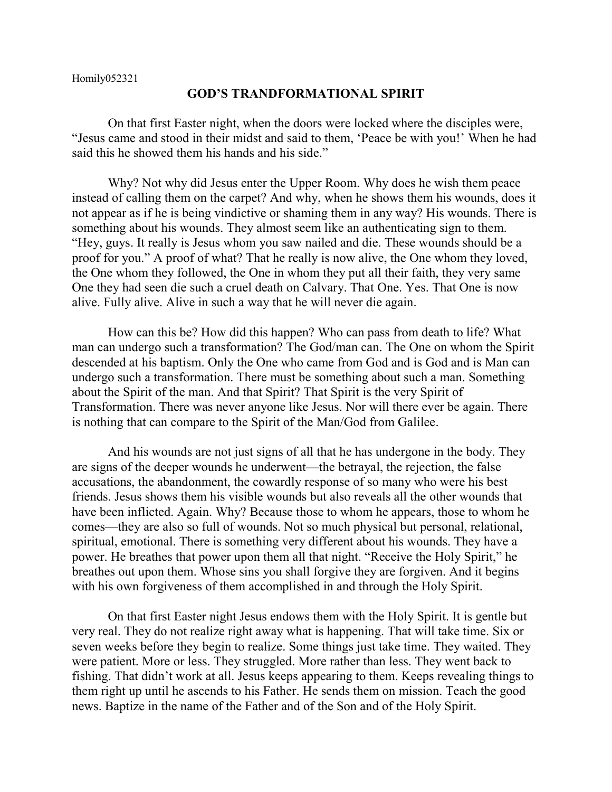## **GOD'S TRANDFORMATIONAL SPIRIT**

On that first Easter night, when the doors were locked where the disciples were, "Jesus came and stood in their midst and said to them, 'Peace be with you!' When he had said this he showed them his hands and his side."

Why? Not why did Jesus enter the Upper Room. Why does he wish them peace instead of calling them on the carpet? And why, when he shows them his wounds, does it not appear as if he is being vindictive or shaming them in any way? His wounds. There is something about his wounds. They almost seem like an authenticating sign to them. "Hey, guys. It really is Jesus whom you saw nailed and die. These wounds should be a proof for you." A proof of what? That he really is now alive, the One whom they loved, the One whom they followed, the One in whom they put all their faith, they very same One they had seen die such a cruel death on Calvary. That One. Yes. That One is now alive. Fully alive. Alive in such a way that he will never die again.

How can this be? How did this happen? Who can pass from death to life? What man can undergo such a transformation? The God/man can. The One on whom the Spirit descended at his baptism. Only the One who came from God and is God and is Man can undergo such a transformation. There must be something about such a man. Something about the Spirit of the man. And that Spirit? That Spirit is the very Spirit of Transformation. There was never anyone like Jesus. Nor will there ever be again. There is nothing that can compare to the Spirit of the Man/God from Galilee.

And his wounds are not just signs of all that he has undergone in the body. They are signs of the deeper wounds he underwent—the betrayal, the rejection, the false accusations, the abandonment, the cowardly response of so many who were his best friends. Jesus shows them his visible wounds but also reveals all the other wounds that have been inflicted. Again. Why? Because those to whom he appears, those to whom he comes—they are also so full of wounds. Not so much physical but personal, relational, spiritual, emotional. There is something very different about his wounds. They have a power. He breathes that power upon them all that night. "Receive the Holy Spirit," he breathes out upon them. Whose sins you shall forgive they are forgiven. And it begins with his own forgiveness of them accomplished in and through the Holy Spirit.

On that first Easter night Jesus endows them with the Holy Spirit. It is gentle but very real. They do not realize right away what is happening. That will take time. Six or seven weeks before they begin to realize. Some things just take time. They waited. They were patient. More or less. They struggled. More rather than less. They went back to fishing. That didn't work at all. Jesus keeps appearing to them. Keeps revealing things to them right up until he ascends to his Father. He sends them on mission. Teach the good news. Baptize in the name of the Father and of the Son and of the Holy Spirit.